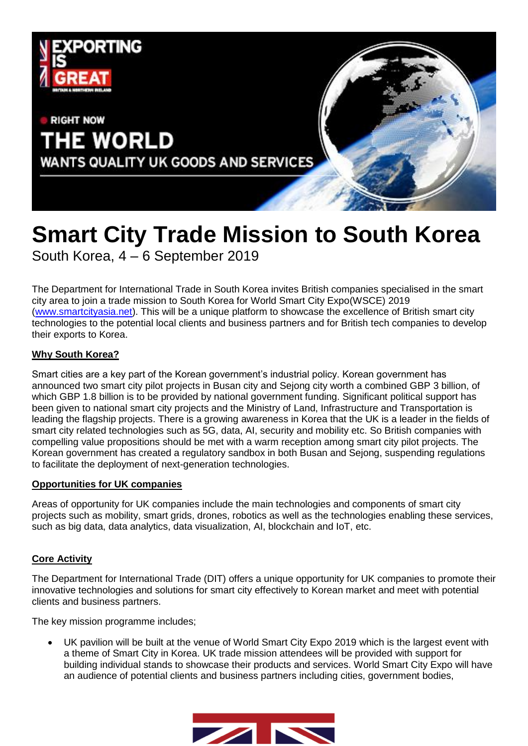

# **Smart City Trade Mission to South Korea** South Korea, 4 – 6 September 2019

The Department for International Trade in South Korea invites British companies specialised in the smart city area to join a trade mission to South Korea for World Smart City Expo(WSCE) 2019 [\(www.smartcityasia.net\)](http://www.smartcityasia.net/). This will be a unique platform to showcase the excellence of British smart city technologies to the potential local clients and business partners and for British tech companies to develop their exports to Korea.

## **Why South Korea?**

Smart cities are a key part of the Korean government's industrial policy. Korean government has announced two smart city pilot projects in Busan city and Sejong city worth a combined GBP 3 billion, of which GBP 1.8 billion is to be provided by national government funding. Significant political support has been given to national smart city projects and the Ministry of Land, Infrastructure and Transportation is leading the flagship projects. There is a growing awareness in Korea that the UK is a leader in the fields of smart city related technologies such as 5G, data, AI, security and mobility etc. So British companies with compelling value propositions should be met with a warm reception among smart city pilot projects. The Korean government has created a regulatory sandbox in both Busan and Sejong, suspending regulations to facilitate the deployment of next-generation technologies.

#### **Opportunities for UK companies**

Areas of opportunity for UK companies include the main technologies and components of smart city projects such as mobility, smart grids, drones, robotics as well as the technologies enabling these services, such as big data, data analytics, data visualization, AI, blockchain and IoT, etc.

#### **Core Activity**

The Department for International Trade (DIT) offers a unique opportunity for UK companies to promote their innovative technologies and solutions for smart city effectively to Korean market and meet with potential clients and business partners.

The key mission programme includes;

 UK pavilion will be built at the venue of World Smart City Expo 2019 which is the largest event with a theme of Smart City in Korea. UK trade mission attendees will be provided with support for building individual stands to showcase their products and services. World Smart City Expo will have an audience of potential clients and business partners including cities, government bodies,